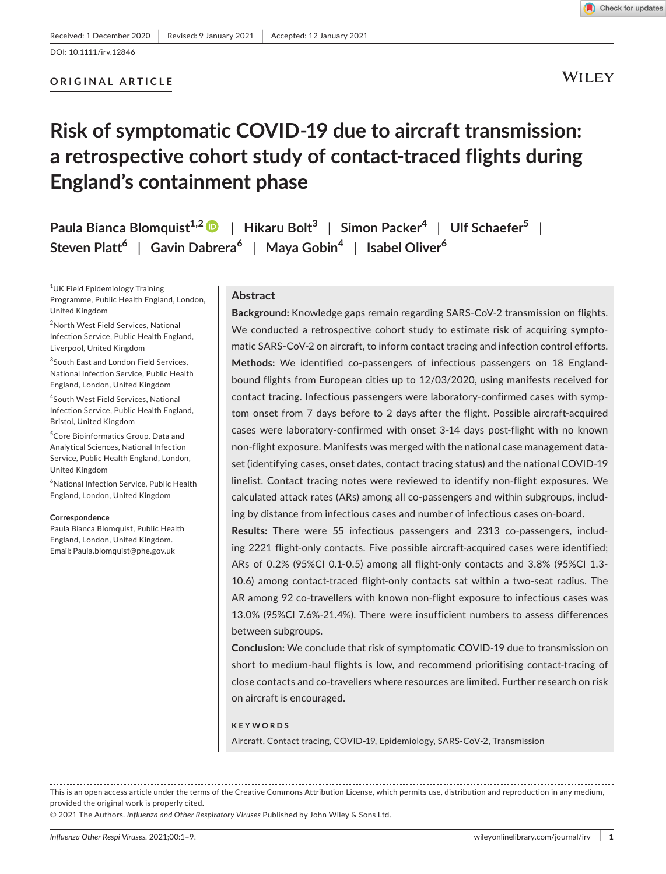DOI: 10.1111/irv.12846

## **ORIGINAL ARTICLE**

**WILEY** 

# **Risk of symptomatic COVID-19 due to aircraft transmission: a retrospective cohort study of contact-traced flights during England's containment phase**

**Paula Bianca Blomquist1,[2](https://orcid.org/0000-0002-3962-4211)** | **Hikaru Bolt<sup>3</sup>** | **Simon Packer<sup>4</sup>** | **Ulf Schaefer<sup>5</sup>** | **Steven Platt<sup>6</sup>** | **Gavin Dabrera<sup>6</sup>** | **Maya Gobin<sup>4</sup>** | **Isabel Oliver<sup>6</sup>**

1 UK Field Epidemiology Training Programme, Public Health England, London, United Kingdom

2 North West Field Services, National Infection Service, Public Health England, Liverpool, United Kingdom

3 South East and London Field Services, National Infection Service, Public Health England, London, United Kingdom

4 South West Field Services, National Infection Service, Public Health England, Bristol, United Kingdom

5 Core Bioinformatics Group, Data and Analytical Sciences, National Infection Service, Public Health England, London, United Kingdom

6 National Infection Service, Public Health England, London, United Kingdom

#### **Correspondence**

Paula Bianca Blomquist, Public Health England, London, United Kingdom. Email: [Paula.blomquist@phe.gov.uk](mailto:Paula.blomquist@phe.gov.uk)

#### **Abstract**

**Background:** Knowledge gaps remain regarding SARS-CoV-2 transmission on flights. We conducted a retrospective cohort study to estimate risk of acquiring symptomatic SARS-CoV-2 on aircraft, to inform contact tracing and infection control efforts. **Methods:** We identified co-passengers of infectious passengers on 18 Englandbound flights from European cities up to 12/03/2020, using manifests received for contact tracing. Infectious passengers were laboratory-confirmed cases with symptom onset from 7 days before to 2 days after the flight. Possible aircraft-acquired cases were laboratory-confirmed with onset 3-14 days post-flight with no known non-flight exposure. Manifests was merged with the national case management dataset (identifying cases, onset dates, contact tracing status) and the national COVID-19 linelist. Contact tracing notes were reviewed to identify non-flight exposures. We calculated attack rates (ARs) among all co-passengers and within subgroups, including by distance from infectious cases and number of infectious cases on-board.

**Results:** There were 55 infectious passengers and 2313 co-passengers, including 2221 flight-only contacts. Five possible aircraft-acquired cases were identified; ARs of 0.2% (95%CI 0.1-0.5) among all flight-only contacts and 3.8% (95%CI 1.3- 10.6) among contact-traced flight-only contacts sat within a two-seat radius. The AR among 92 co-travellers with known non-flight exposure to infectious cases was 13.0% (95%CI 7.6%-21.4%). There were insufficient numbers to assess differences between subgroups.

**Conclusion:** We conclude that risk of symptomatic COVID-19 due to transmission on short to medium-haul flights is low, and recommend prioritising contact-tracing of close contacts and co-travellers where resources are limited. Further research on risk on aircraft is encouraged.

#### **KEYWORDS**

Aircraft, Contact tracing, COVID-19, Epidemiology, SARS-CoV-2, Transmission

This is an open access article under the terms of the [Creative Commons Attribution](http://creativecommons.org/licenses/by/4.0/) License, which permits use, distribution and reproduction in any medium, provided the original work is properly cited.

© 2021 The Authors. *Influenza and Other Respiratory Viruses* Published by John Wiley & Sons Ltd.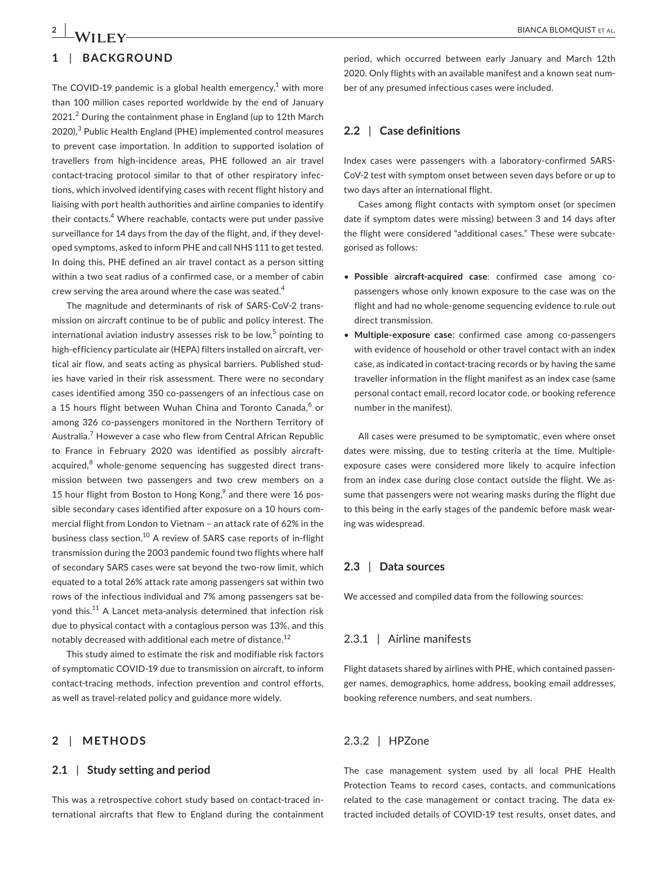## **1** | **BACKGROUND**

The COVID-19 pandemic is a global health emergency, $1$  with more than 100 million cases reported worldwide by the end of January  $2021.<sup>2</sup>$  During the containment phase in England (up to 12th March 2020),<sup>3</sup> Public Health England (PHE) implemented control measures to prevent case importation. In addition to supported isolation of travellers from high-incidence areas, PHE followed an air travel contact-tracing protocol similar to that of other respiratory infections, which involved identifying cases with recent flight history and liaising with port health authorities and airline companies to identify their contacts.<sup>4</sup> Where reachable, contacts were put under passive surveillance for 14 days from the day of the flight, and, if they developed symptoms, asked to inform PHE and call NHS 111 to get tested. In doing this, PHE defined an air travel contact as a person sitting within a two seat radius of a confirmed case, or a member of cabin crew serving the area around where the case was seated.<sup>4</sup>

The magnitude and determinants of risk of SARS-CoV-2 transmission on aircraft continue to be of public and policy interest. The international aviation industry assesses risk to be low,<sup>5</sup> pointing to high-efficiency particulate air (HEPA) filters installed on aircraft, vertical air flow, and seats acting as physical barriers. Published studies have varied in their risk assessment. There were no secondary cases identified among 350 co-passengers of an infectious case on a 15 hours flight between Wuhan China and Toronto Canada,<sup>6</sup> or among 326 co-passengers monitored in the Northern Territory of Australia.<sup>7</sup> However a case who flew from Central African Republic to France in February 2020 was identified as possibly aircraftacquired, $^8$  whole-genome sequencing has suggested direct transmission between two passengers and two crew members on a 15 hour flight from Boston to Hong Kong,<sup>9</sup> and there were 16 possible secondary cases identified after exposure on a 10 hours commercial flight from London to Vietnam – an attack rate of 62% in the business class section.<sup>10</sup> A review of SARS case reports of in-flight transmission during the 2003 pandemic found two flights where half of secondary SARS cases were sat beyond the two-row limit, which equated to a total 26% attack rate among passengers sat within two rows of the infectious individual and 7% among passengers sat beyond this.<sup>11</sup> A Lancet meta-analysis determined that infection risk due to physical contact with a contagious person was 13%, and this notably decreased with additional each metre of distance.<sup>12</sup>

This study aimed to estimate the risk and modifiable risk factors of symptomatic COVID-19 due to transmission on aircraft, to inform contact-tracing methods, infection prevention and control efforts, as well as travel-related policy and guidance more widely.

## **2** | **METHODS**

## **2.1** | **Study setting and period**

This was a retrospective cohort study based on contact-traced international aircrafts that flew to England during the containment

period, which occurred between early January and March 12th 2020. Only flights with an available manifest and a known seat number of any presumed infectious cases were included.

## **2.2** | **Case definitions**

Index cases were passengers with a laboratory-confirmed SARS-CoV-2 test with symptom onset between seven days before or up to two days after an international flight.

Cases among flight contacts with symptom onset (or specimen date if symptom dates were missing) between 3 and 14 days after the flight were considered "additional cases." These were subcategorised as follows:

- **Possible aircraft-acquired case**: confirmed case among copassengers whose only known exposure to the case was on the flight and had no whole-genome sequencing evidence to rule out direct transmission.
- **Multiple-exposure case**: confirmed case among co-passengers with evidence of household or other travel contact with an index case, as indicated in contact-tracing records or by having the same traveller information in the flight manifest as an index case (same personal contact email, record locator code, or booking reference number in the manifest).

All cases were presumed to be symptomatic, even where onset dates were missing, due to testing criteria at the time. Multipleexposure cases were considered more likely to acquire infection from an index case during close contact outside the flight. We assume that passengers were not wearing masks during the flight due to this being in the early stages of the pandemic before mask wearing was widespread.

#### **2.3** | **Data sources**

We accessed and compiled data from the following sources:

## 2.3.1 | Airline manifests

Flight datasets shared by airlines with PHE, which contained passenger names, demographics, home address, booking email addresses, booking reference numbers, and seat numbers.

## 2.3.2 | HPZone

The case management system used by all local PHE Health Protection Teams to record cases, contacts, and communications related to the case management or contact tracing. The data extracted included details of COVID-19 test results, onset dates, and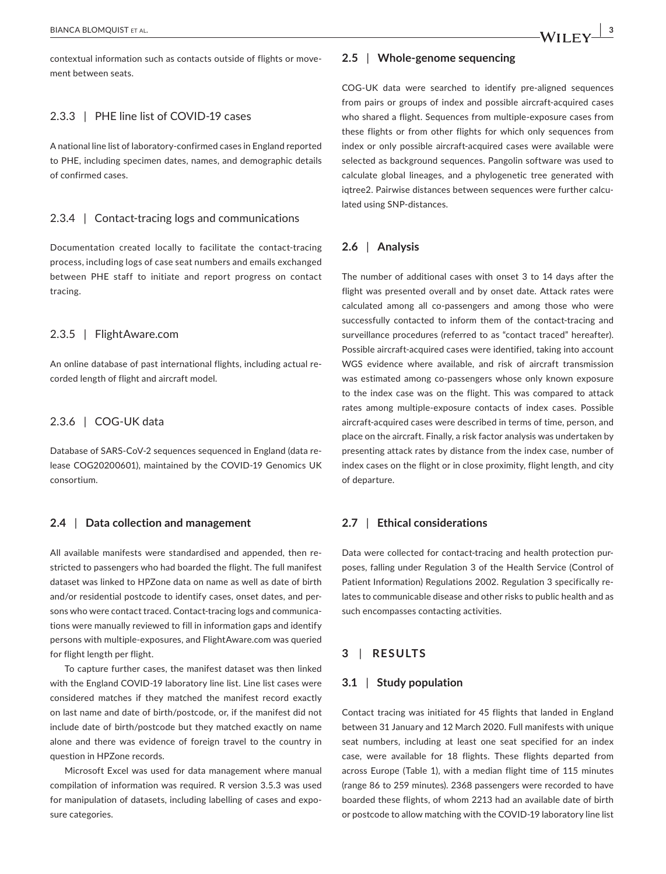contextual information such as contacts outside of flights or movement between seats.

## 2.3.3 | PHE line list of COVID-19 cases

A national line list of laboratory-confirmed cases in England reported to PHE, including specimen dates, names, and demographic details of confirmed cases.

## 2.3.4 | Contact-tracing logs and communications

Documentation created locally to facilitate the contact-tracing process, including logs of case seat numbers and emails exchanged between PHE staff to initiate and report progress on contact tracing.

## 2.3.5 | FlightAware.com

An online database of past international flights, including actual recorded length of flight and aircraft model.

## 2.3.6 | COG-UK data

Database of SARS-CoV-2 sequences sequenced in England (data release COG20200601), maintained by the COVID-19 Genomics UK consortium.

## **2.4** | **Data collection and management**

All available manifests were standardised and appended, then restricted to passengers who had boarded the flight. The full manifest dataset was linked to HPZone data on name as well as date of birth and/or residential postcode to identify cases, onset dates, and persons who were contact traced. Contact-tracing logs and communications were manually reviewed to fill in information gaps and identify persons with multiple-exposures, and FlightAware.com was queried for flight length per flight.

To capture further cases, the manifest dataset was then linked with the England COVID-19 laboratory line list. Line list cases were considered matches if they matched the manifest record exactly on last name and date of birth/postcode, or, if the manifest did not include date of birth/postcode but they matched exactly on name alone and there was evidence of foreign travel to the country in question in HPZone records.

Microsoft Excel was used for data management where manual compilation of information was required. R version 3.5.3 was used for manipulation of datasets, including labelling of cases and exposure categories.

## **2.5** | **Whole-genome sequencing**

COG-UK data were searched to identify pre-aligned sequences from pairs or groups of index and possible aircraft-acquired cases who shared a flight. Sequences from multiple-exposure cases from these flights or from other flights for which only sequences from index or only possible aircraft-acquired cases were available were selected as background sequences. Pangolin software was used to calculate global lineages, and a phylogenetic tree generated with iqtree2. Pairwise distances between sequences were further calculated using SNP-distances.

## **2.6** | **Analysis**

The number of additional cases with onset 3 to 14 days after the flight was presented overall and by onset date. Attack rates were calculated among all co-passengers and among those who were successfully contacted to inform them of the contact-tracing and surveillance procedures (referred to as "contact traced" hereafter). Possible aircraft-acquired cases were identified, taking into account WGS evidence where available, and risk of aircraft transmission was estimated among co-passengers whose only known exposure to the index case was on the flight. This was compared to attack rates among multiple-exposure contacts of index cases. Possible aircraft-acquired cases were described in terms of time, person, and place on the aircraft. Finally, a risk factor analysis was undertaken by presenting attack rates by distance from the index case, number of index cases on the flight or in close proximity, flight length, and city of departure.

## **2.7** | **Ethical considerations**

Data were collected for contact-tracing and health protection purposes, falling under Regulation 3 of the Health Service (Control of Patient Information) Regulations 2002. Regulation 3 specifically relates to communicable disease and other risks to public health and as such encompasses contacting activities.

## **3** | **RESULTS**

## **3.1** | **Study population**

Contact tracing was initiated for 45 flights that landed in England between 31 January and 12 March 2020. Full manifests with unique seat numbers, including at least one seat specified for an index case, were available for 18 flights. These flights departed from across Europe (Table 1), with a median flight time of 115 minutes (range 86 to 259 minutes). 2368 passengers were recorded to have boarded these flights, of whom 2213 had an available date of birth or postcode to allow matching with the COVID-19 laboratory line list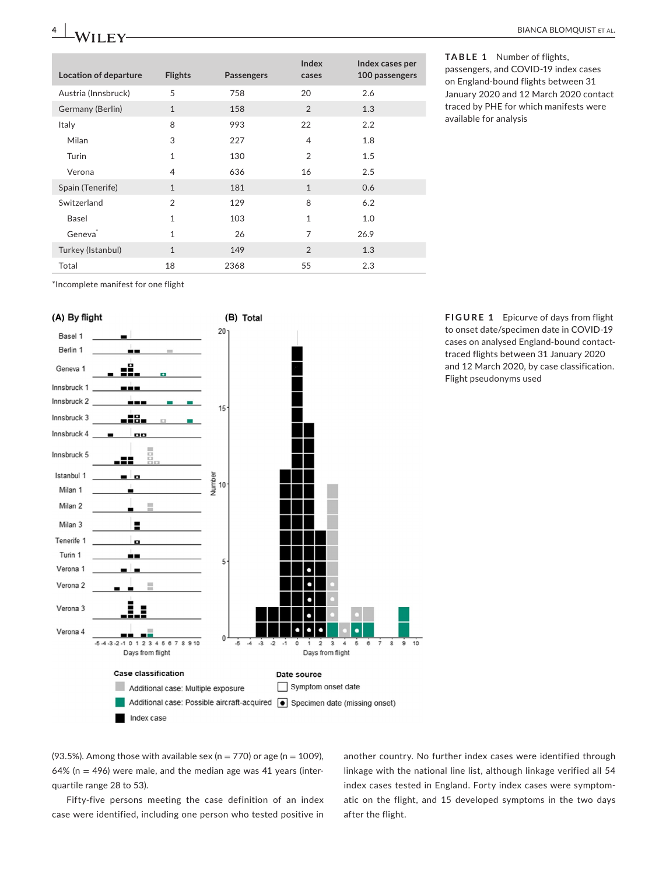| <b>Location of departure</b> | <b>Flights</b> | <b>Passengers</b> | Index<br>cases | Index cases per<br>100 passengers |
|------------------------------|----------------|-------------------|----------------|-----------------------------------|
| Austria (Innsbruck)          | 5              | 758               | 20             | 2.6                               |
| Germany (Berlin)             | $\mathbf{1}$   | 158               | $\overline{2}$ | 1.3                               |
| Italy                        | 8              | 993               | 22             | 2.2                               |
| Milan                        | 3              | 227               | 4              | 1.8                               |
| Turin                        | 1              | 130               | $\overline{2}$ | 1.5                               |
| Verona                       | 4              | 636               | 16             | 2.5                               |
| Spain (Tenerife)             | $\mathbf{1}$   | 181               | $\mathbf{1}$   | 0.6                               |
| Switzerland                  | $\overline{2}$ | 129               | 8              | 6.2                               |
| Basel                        | 1              | 103               | $\mathbf{1}$   | 1.0                               |
| Geneva <sup>®</sup>          | $\mathbf{1}$   | 26                | 7              | 26.9                              |
| Turkey (Istanbul)            | $\mathbf{1}$   | 149               | $\overline{2}$ | 1.3                               |
| Total                        | 18             | 2368              | 55             | 2.3                               |

**TABLE 1** Number of flights, passengers, and COVID-19 index cases on England-bound flights between 31 January 2020 and 12 March 2020 contact traced by PHE for which manifests were

available for analysis

\*Incomplete manifest for one flight



(93.5%). Among those with available sex (n = 770) or age (n = 1009), 64% ( $n = 496$ ) were male, and the median age was 41 years (interquartile range 28 to 53).

Fifty-five persons meeting the case definition of an index case were identified, including one person who tested positive in

another country. No further index cases were identified through linkage with the national line list, although linkage verified all 54 index cases tested in England. Forty index cases were symptomatic on the flight, and 15 developed symptoms in the two days after the flight.

**FIGURE 1** Epicurve of days from flight to onset date/specimen date in COVID-19 cases on analysed England-bound contacttraced flights between 31 January 2020 and 12 March 2020, by case classification. Flight pseudonyms used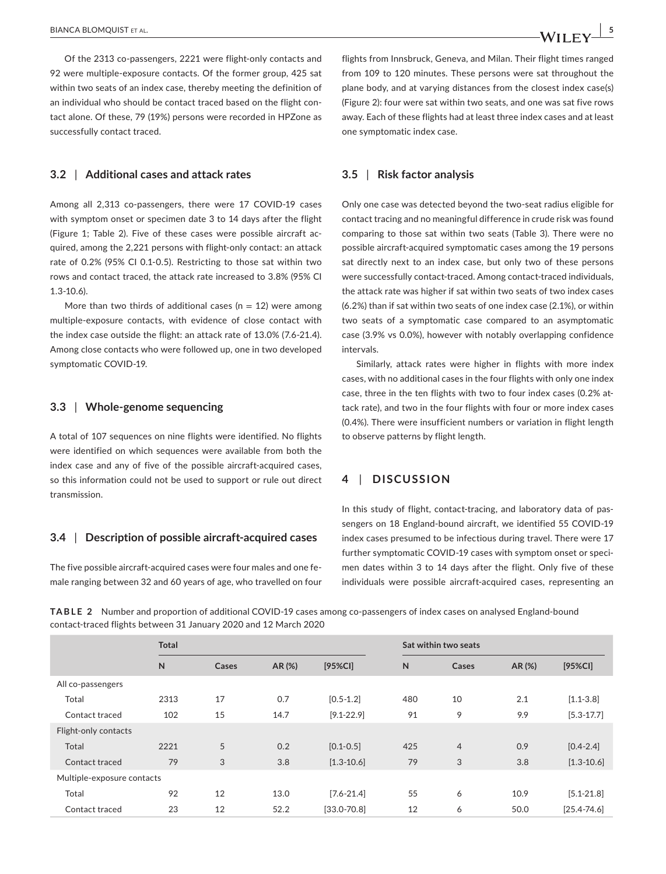Of the 2313 co-passengers, 2221 were flight-only contacts and 92 were multiple-exposure contacts. Of the former group, 425 sat within two seats of an index case, thereby meeting the definition of an individual who should be contact traced based on the flight contact alone. Of these, 79 (19%) persons were recorded in HPZone as successfully contact traced.

## **3.2** | **Additional cases and attack rates**

Among all 2,313 co-passengers, there were 17 COVID-19 cases with symptom onset or specimen date 3 to 14 days after the flight (Figure 1; Table 2). Five of these cases were possible aircraft acquired, among the 2,221 persons with flight-only contact: an attack rate of 0.2% (95% CI 0.1-0.5). Restricting to those sat within two rows and contact traced, the attack rate increased to 3.8% (95% CI 1.3-10.6).

More than two thirds of additional cases ( $n = 12$ ) were among multiple-exposure contacts, with evidence of close contact with the index case outside the flight: an attack rate of 13.0% (7.6-21.4). Among close contacts who were followed up, one in two developed symptomatic COVID-19.

#### **3.3** | **Whole-genome sequencing**

A total of 107 sequences on nine flights were identified. No flights were identified on which sequences were available from both the index case and any of five of the possible aircraft-acquired cases, so this information could not be used to support or rule out direct transmission.

## **3.4** | **Description of possible aircraft-acquired cases**

The five possible aircraft-acquired cases were four males and one female ranging between 32 and 60 years of age, who travelled on four flights from Innsbruck, Geneva, and Milan. Their flight times ranged from 109 to 120 minutes. These persons were sat throughout the plane body, and at varying distances from the closest index case(s) (Figure 2): four were sat within two seats, and one was sat five rows away. Each of these flights had at least three index cases and at least one symptomatic index case.

## **3.5** | **Risk factor analysis**

Only one case was detected beyond the two-seat radius eligible for contact tracing and no meaningful difference in crude risk was found comparing to those sat within two seats (Table 3). There were no possible aircraft-acquired symptomatic cases among the 19 persons sat directly next to an index case, but only two of these persons were successfully contact-traced. Among contact-traced individuals, the attack rate was higher if sat within two seats of two index cases (6.2%) than if sat within two seats of one index case (2.1%), or within two seats of a symptomatic case compared to an asymptomatic case (3.9% vs 0.0%), however with notably overlapping confidence intervals.

Similarly, attack rates were higher in flights with more index cases, with no additional cases in the four flights with only one index case, three in the ten flights with two to four index cases (0.2% attack rate), and two in the four flights with four or more index cases (0.4%). There were insufficient numbers or variation in flight length to observe patterns by flight length.

## **4** | **DISCUSSION**

In this study of flight, contact-tracing, and laboratory data of passengers on 18 England-bound aircraft, we identified 55 COVID-19 index cases presumed to be infectious during travel. There were 17 further symptomatic COVID-19 cases with symptom onset or specimen dates within 3 to 14 days after the flight. Only five of these individuals were possible aircraft-acquired cases, representing an

**TABLE 2** Number and proportion of additional COVID-19 cases among co-passengers of index cases on analysed England-bound contact-traced flights between 31 January 2020 and 12 March 2020

|                            | <b>Total</b> |       |        |                 | Sat within two seats |                |        |                 |  |  |
|----------------------------|--------------|-------|--------|-----------------|----------------------|----------------|--------|-----------------|--|--|
|                            | N            | Cases | AR (%) | $[95%$ CI]      | $\mathsf{N}$         | Cases          | AR (%) | $[95%$ CI]      |  |  |
| All co-passengers          |              |       |        |                 |                      |                |        |                 |  |  |
| Total                      | 2313         | 17    | 0.7    | $[0.5 - 1.2]$   | 480                  | 10             | 2.1    | $[1.1 - 3.8]$   |  |  |
| Contact traced             | 102          | 15    | 14.7   | $[9.1 - 22.9]$  | 91                   | 9              | 9.9    | $[5.3 - 17.7]$  |  |  |
| Flight-only contacts       |              |       |        |                 |                      |                |        |                 |  |  |
| Total                      | 2221         | 5     | 0.2    | $[0.1 - 0.5]$   | 425                  | $\overline{4}$ | 0.9    | $[0.4 - 2.4]$   |  |  |
| Contact traced             | 79           | 3     | 3.8    | $[1.3 - 10.6]$  | 79                   | 3              | 3.8    | $[1.3 - 10.6]$  |  |  |
| Multiple-exposure contacts |              |       |        |                 |                      |                |        |                 |  |  |
| Total                      | 92           | 12    | 13.0   | $[7.6 - 21.4]$  | 55                   | 6              | 10.9   | $[5.1 - 21.8]$  |  |  |
| Contact traced             | 23           | 12    | 52.2   | $[33.0 - 70.8]$ | 12                   | 6              | 50.0   | $[25.4 - 74.6]$ |  |  |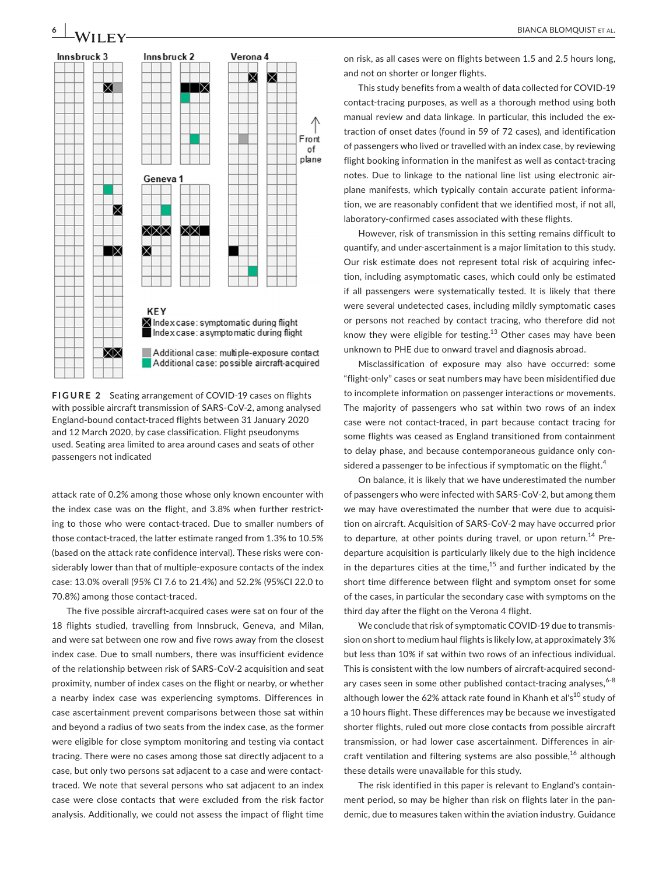

**FIGURE 2** Seating arrangement of COVID-19 cases on flights with possible aircraft transmission of SARS-CoV-2, among analysed England-bound contact-traced flights between 31 January 2020 and 12 March 2020, by case classification. Flight pseudonyms used. Seating area limited to area around cases and seats of other passengers not indicated

attack rate of 0.2% among those whose only known encounter with the index case was on the flight, and 3.8% when further restricting to those who were contact-traced. Due to smaller numbers of those contact-traced, the latter estimate ranged from 1.3% to 10.5% (based on the attack rate confidence interval). These risks were considerably lower than that of multiple-exposure contacts of the index case: 13.0% overall (95% CI 7.6 to 21.4%) and 52.2% (95%CI 22.0 to 70.8%) among those contact-traced.

The five possible aircraft-acquired cases were sat on four of the 18 flights studied, travelling from Innsbruck, Geneva, and Milan, and were sat between one row and five rows away from the closest index case. Due to small numbers, there was insufficient evidence of the relationship between risk of SARS-CoV-2 acquisition and seat proximity, number of index cases on the flight or nearby, or whether a nearby index case was experiencing symptoms. Differences in case ascertainment prevent comparisons between those sat within and beyond a radius of two seats from the index case, as the former were eligible for close symptom monitoring and testing via contact tracing. There were no cases among those sat directly adjacent to a case, but only two persons sat adjacent to a case and were contacttraced. We note that several persons who sat adjacent to an index case were close contacts that were excluded from the risk factor analysis. Additionally, we could not assess the impact of flight time

on risk, as all cases were on flights between 1.5 and 2.5 hours long, and not on shorter or longer flights.

This study benefits from a wealth of data collected for COVID-19 contact-tracing purposes, as well as a thorough method using both manual review and data linkage. In particular, this included the extraction of onset dates (found in 59 of 72 cases), and identification of passengers who lived or travelled with an index case, by reviewing flight booking information in the manifest as well as contact-tracing notes. Due to linkage to the national line list using electronic airplane manifests, which typically contain accurate patient information, we are reasonably confident that we identified most, if not all, laboratory-confirmed cases associated with these flights.

However, risk of transmission in this setting remains difficult to quantify, and under-ascertainment is a major limitation to this study. Our risk estimate does not represent total risk of acquiring infection, including asymptomatic cases, which could only be estimated if all passengers were systematically tested. It is likely that there were several undetected cases, including mildly symptomatic cases or persons not reached by contact tracing, who therefore did not know they were eligible for testing. $13$  Other cases may have been unknown to PHE due to onward travel and diagnosis abroad.

Misclassification of exposure may also have occurred: some "flight-only" cases or seat numbers may have been misidentified due to incomplete information on passenger interactions or movements. The majority of passengers who sat within two rows of an index case were not contact-traced, in part because contact tracing for some flights was ceased as England transitioned from containment to delay phase, and because contemporaneous guidance only considered a passenger to be infectious if symptomatic on the flight. $4$ 

On balance, it is likely that we have underestimated the number of passengers who were infected with SARS-CoV-2, but among them we may have overestimated the number that were due to acquisition on aircraft. Acquisition of SARS-CoV-2 may have occurred prior to departure, at other points during travel, or upon return.<sup>14</sup> Predeparture acquisition is particularly likely due to the high incidence in the departures cities at the time, $15$  and further indicated by the short time difference between flight and symptom onset for some of the cases, in particular the secondary case with symptoms on the third day after the flight on the Verona 4 flight.

We conclude that risk of symptomatic COVID-19 due to transmission on short to medium haul flights is likely low, at approximately 3% but less than 10% if sat within two rows of an infectious individual. This is consistent with the low numbers of aircraft-acquired secondary cases seen in some other published contact-tracing analyses,  $6-8$ although lower the 62% attack rate found in Khanh et al's<sup>10</sup> study of a 10 hours flight. These differences may be because we investigated shorter flights, ruled out more close contacts from possible aircraft transmission, or had lower case ascertainment. Differences in aircraft ventilation and filtering systems are also possible,<sup>16</sup> although these details were unavailable for this study.

The risk identified in this paper is relevant to England's containment period, so may be higher than risk on flights later in the pandemic, due to measures taken within the aviation industry. Guidance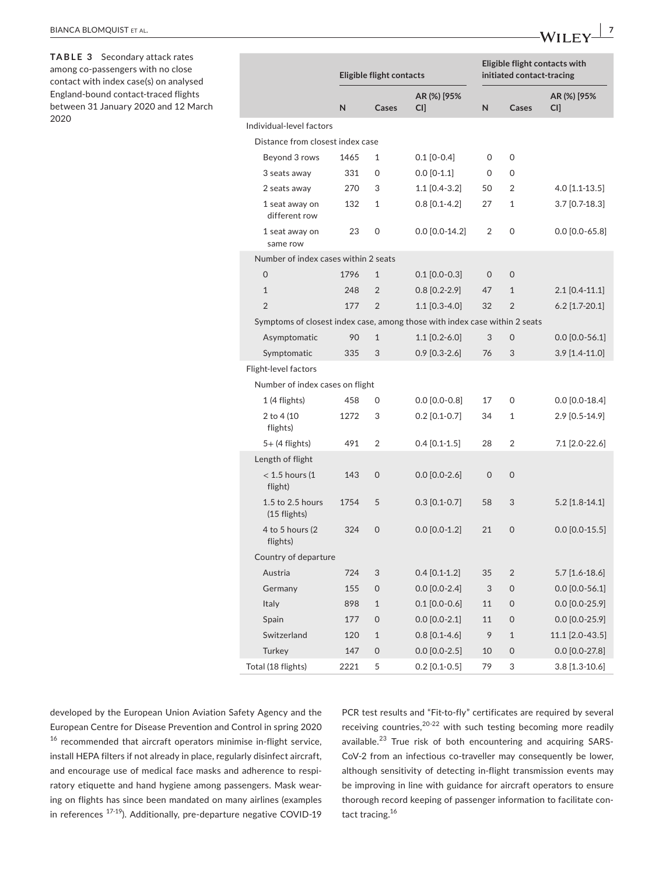PCR test results and "Fit-to-fly" certificates are required by several receiving countries, $20-22$  with such testing becoming more readily available.<sup>23</sup> True risk of both encountering and acquiring SARS-CoV-2 from an infectious co-traveller may consequently be lower, although sensitivity of detecting in-flight transmission events may be improving in line with guidance for aircraft operators to ensure thorough record keeping of passenger information to facilitate contact tracing.<sup>16</sup>

| Individual-level factors                                                   |      |                     |                  |                     |                |                  |  |
|----------------------------------------------------------------------------|------|---------------------|------------------|---------------------|----------------|------------------|--|
| Distance from closest index case                                           |      |                     |                  |                     |                |                  |  |
| Beyond 3 rows                                                              | 1465 | $\mathbf{1}$        | $0.1$ [0-0.4]    | 0                   | 0              |                  |  |
| 3 seats away                                                               | 331  | 0                   | $0.0$ [0-1.1]    | 0                   | 0              |                  |  |
| 2 seats away                                                               | 270  | 3                   | 1.1 [0.4-3.2]    | 50                  | $\overline{2}$ | 4.0 [1.1-13.5]   |  |
| 1 seat away on<br>different row                                            | 132  | $\mathbf{1}$        | $0.8$ [0.1-4.2]  | 27                  | 1              | 3.7 [0.7-18.3]   |  |
| 1 seat away on<br>same row                                                 | 23   | 0                   | $0.0$ [0.0-14.2] | $\overline{2}$      | 0              | $0.0$ [0.0-65.8] |  |
| Number of index cases within 2 seats                                       |      |                     |                  |                     |                |                  |  |
| $\overline{O}$                                                             | 1796 | $\mathbf{1}$        | $0.1$ [0.0-0.3]  | 0                   | $\mathbf 0$    |                  |  |
| $\mathbf{1}$                                                               | 248  | $\overline{2}$      | $0.8$ [0.2-2.9]  | 47                  | $\mathbf{1}$   | $2.1$ [0.4-11.1] |  |
| $\overline{2}$                                                             | 177  | $\overline{2}$      | $1.1$ [0.3-4.0]  | 32                  | $\overline{2}$ | $6.2$ [1.7-20.1] |  |
| Symptoms of closest index case, among those with index case within 2 seats |      |                     |                  |                     |                |                  |  |
| Asymptomatic                                                               | 90   | $\mathbf{1}$        | $1.1$ [0.2-6.0]  | 3                   | $\mathbf 0$    | $0.0$ [0.0-56.1] |  |
| Symptomatic                                                                | 335  | 3                   | $0.9$ [0.3-2.6]  | 76                  | 3              | $3.9$ [1.4-11.0] |  |
| Flight-level factors                                                       |      |                     |                  |                     |                |                  |  |
| Number of index cases on flight                                            |      |                     |                  |                     |                |                  |  |
| 1 (4 flights)                                                              | 458  | $\mathsf{O}$        | $0.0$ [0.0-0.8]  | 17                  | 0              | $0.0$ [0.0-18.4] |  |
| 2 to 4 (10<br>flights)                                                     | 1272 | 3                   | $0.2$ [0.1-0.7]  | 34                  | 1              | 2.9 [0.5-14.9]   |  |
| $5+$ (4 flights)                                                           | 491  | $\overline{2}$      | $0.4$ [0.1-1.5]  | 28                  | $\overline{2}$ | 7.1 [2.0-22.6]   |  |
| Length of flight                                                           |      |                     |                  |                     |                |                  |  |
| $<$ 1.5 hours (1<br>flight)                                                | 143  | $\mathsf{O}\xspace$ | $0.0$ [0.0-2.6]  | $\mathsf{O}\xspace$ | 0              |                  |  |
| 1.5 to 2.5 hours<br>(15 flights)                                           | 1754 | 5                   | $0.3$ [0.1-0.7]  | 58                  | 3              | $5.2$ [1.8-14.1] |  |
| 4 to 5 hours (2)<br>flights)                                               | 324  | 0                   | $0.0$ [0.0-1.2]  | 21                  | 0              | $0.0$ [0.0-15.5] |  |
| Country of departure                                                       |      |                     |                  |                     |                |                  |  |
| Austria                                                                    | 724  | 3                   | $0.4$ [0.1-1.2]  | 35                  | $\overline{2}$ | $5.7$ [1.6-18.6] |  |
| Germany                                                                    | 155  | $\mathbf 0$         | $0.0$ [0.0-2.4]  | 3                   | 0              | $0.0$ [0.0-56.1] |  |
| Italy                                                                      | 898  | $\mathbf{1}$        | $0.1$ [0.0-0.6]  | 11                  | 0              | $0.0$ [0.0-25.9] |  |
| Spain                                                                      | 177  | $\Omega$            | $0.0$ [0.0-2.1]  | 11                  | $\Omega$       | $0.0$ [0.0-25.9] |  |
| Switzerland                                                                | 120  | $\mathbf{1}$        | $0.8$ [0.1-4.6]  | 9                   | $\mathbf{1}$   | 11.1 [2.0-43.5]  |  |
| Turkey                                                                     | 147  | $\Omega$            | $0.0$ [0.0-2.5]  | 10                  | 0              | $0.0$ [0.0-27.8] |  |
| Total (18 flights)                                                         | 2221 | 5                   | $0.2$ [0.1-0.5]  | 79                  | 3              | $3.8$ [1.3-10.6] |  |

**Eligible flight contacts**

**AR (%) [95%** 

**CI] N Cases**

**N Cases**

**TABLE 3** Secondary attack rates among co-passengers with no close contact with index case(s) on analysed England-bound contact-traced flights between 31 January 2020 and 12 March 2020

**AR (%) [95% CI]**

**Eligible flight contacts with initiated contact-tracing**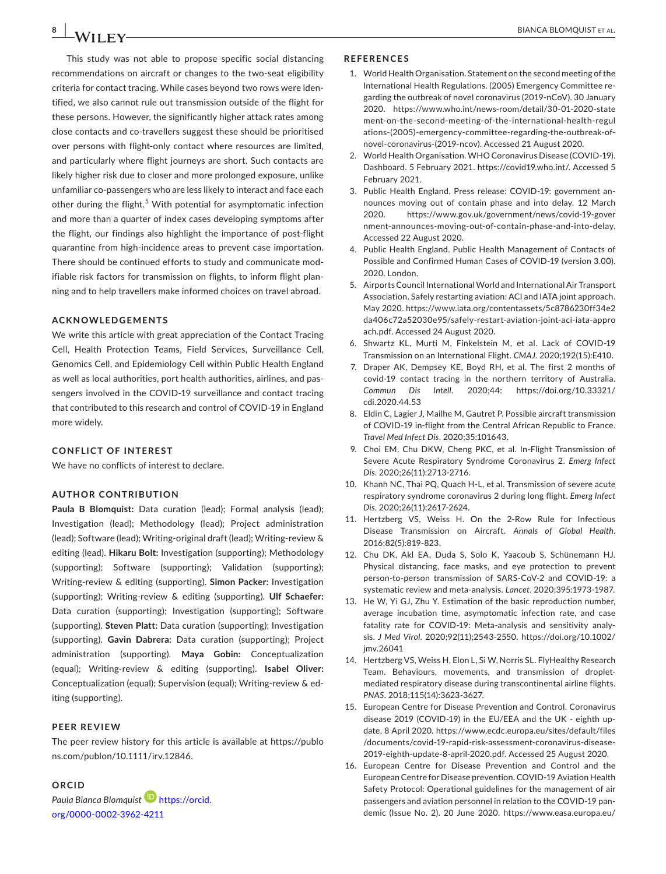This study was not able to propose specific social distancing recommendations on aircraft or changes to the two-seat eligibility criteria for contact tracing. While cases beyond two rows were identified, we also cannot rule out transmission outside of the flight for these persons. However, the significantly higher attack rates among close contacts and co-travellers suggest these should be prioritised over persons with flight-only contact where resources are limited, and particularly where flight journeys are short. Such contacts are likely higher risk due to closer and more prolonged exposure, unlike unfamiliar co-passengers who are less likely to interact and face each other during the flight.<sup>5</sup> With potential for asymptomatic infection and more than a quarter of index cases developing symptoms after the flight, our findings also highlight the importance of post-flight quarantine from high-incidence areas to prevent case importation. There should be continued efforts to study and communicate modifiable risk factors for transmission on flights, to inform flight planning and to help travellers make informed choices on travel abroad.

#### **ACKNOWLEDGEMENTS**

We write this article with great appreciation of the Contact Tracing Cell, Health Protection Teams, Field Services, Surveillance Cell, Genomics Cell, and Epidemiology Cell within Public Health England as well as local authorities, port health authorities, airlines, and passengers involved in the COVID-19 surveillance and contact tracing that contributed to this research and control of COVID-19 in England more widely.

#### **CONFLICT OF INTEREST**

We have no conflicts of interest to declare.

#### **AUTHOR CONTRIBUTION**

**Paula B Blomquist:** Data curation (lead); Formal analysis (lead); Investigation (lead); Methodology (lead); Project administration (lead); Software (lead); Writing-original draft (lead); Writing-review & editing (lead). **Hikaru Bolt:** Investigation (supporting); Methodology (supporting); Software (supporting); Validation (supporting); Writing-review & editing (supporting). **Simon Packer:** Investigation (supporting); Writing-review & editing (supporting). **Ulf Schaefer:** Data curation (supporting); Investigation (supporting); Software (supporting). **Steven Platt:** Data curation (supporting); Investigation (supporting). **Gavin Dabrera:** Data curation (supporting); Project administration (supporting). **Maya Gobin:** Conceptualization (equal); Writing-review & editing (supporting). **Isabel Oliver:** Conceptualization (equal); Supervision (equal); Writing-review & editing (supporting).

#### **PEER REVIEW**

The peer review history for this article is available at [https://publo](https://publons.com/publon/10.1111/irv.12846) [ns.com/publon/10.1111/irv.12846.](https://publons.com/publon/10.1111/irv.12846)

## **ORCID**

*Paula Bianca Blomquist* [https://orcid.](https://orcid.org/0000-0002-3962-4211) [org/0000-0002-3962-4211](https://orcid.org/0000-0002-3962-4211)

#### **REFERENCES**

- 1. World Health Organisation. Statement on the second meeting of the International Health Regulations. (2005) Emergency Committee regarding the outbreak of novel coronavirus (2019-nCoV). 30 January 2020. [https://www.who.int/news-room/detail/30-01-2020-state](https://www.who.int/news-room/detail/30-01-2020-statement-on-the-second-meeting-of-the-international-health-regulations-(2005)-emergency-committee-regarding-the-outbreak-of-novel-coronavirus-(2019-ncov)) [ment-on-the-second-meeting-of-the-international-health-regul](https://www.who.int/news-room/detail/30-01-2020-statement-on-the-second-meeting-of-the-international-health-regulations-(2005)-emergency-committee-regarding-the-outbreak-of-novel-coronavirus-(2019-ncov)) [ations-\(2005\)-emergency-committee-regarding-the-outbreak-of](https://www.who.int/news-room/detail/30-01-2020-statement-on-the-second-meeting-of-the-international-health-regulations-(2005)-emergency-committee-regarding-the-outbreak-of-novel-coronavirus-(2019-ncov))[novel-coronavirus-\(2019-ncov\)](https://www.who.int/news-room/detail/30-01-2020-statement-on-the-second-meeting-of-the-international-health-regulations-(2005)-emergency-committee-regarding-the-outbreak-of-novel-coronavirus-(2019-ncov)). Accessed 21 August 2020.
- 2. World Health Organisation. WHO Coronavirus Disease (COVID-19). Dashboard. 5 February 2021. <https://covid19.who.int/>. Accessed 5 February 2021.
- 3. Public Health England. Press release: COVID-19: government announces moving out of contain phase and into delay. 12 March 2020. [https://www.gov.uk/government/news/covid-19-gover](https://www.gov.uk/government/news/covid-19-government-announces-moving-out-of-contain-phase-and-into-delay) [nment-announces-moving-out-of-contain-phase-and-into-delay.](https://www.gov.uk/government/news/covid-19-government-announces-moving-out-of-contain-phase-and-into-delay) Accessed 22 August 2020.
- 4. Public Health England. Public Health Management of Contacts of Possible and Confirmed Human Cases of COVID-19 (version 3.00). 2020. London.
- 5. Airports Council International World and International Air Transport Association. Safely restarting aviation: ACI and IATA joint approach. May 2020. [https://www.iata.org/contentassets/5c8786230ff34e2](https://www.iata.org/contentassets/5c8786230ff34e2da406c72a52030e95/safely-restart-aviation-joint-aci-iata-approach.pdf) [da406c72a52030e95/safely-restart-aviation-joint-aci-iata-appro](https://www.iata.org/contentassets/5c8786230ff34e2da406c72a52030e95/safely-restart-aviation-joint-aci-iata-approach.pdf) [ach.pdf](https://www.iata.org/contentassets/5c8786230ff34e2da406c72a52030e95/safely-restart-aviation-joint-aci-iata-approach.pdf). Accessed 24 August 2020.
- 6. Shwartz KL, Murti M, Finkelstein M, et al. Lack of COVID-19 Transmission on an International Flight. *CMAJ*. 2020;192(15):E410.
- 7. Draper AK, Dempsey KE, Boyd RH, et al. The first 2 months of covid-19 contact tracing in the northern territory of Australia. *Commun Dis Intell*. 2020;44: [https://doi.org/10.33321/](https://doi.org/10.33321/cdi.2020.44.53) [cdi.2020.44.53](https://doi.org/10.33321/cdi.2020.44.53)
- 8. Eldin C, Lagier J, Mailhe M, Gautret P. Possible aircraft transmission of COVID-19 in-flight from the Central African Republic to France. *Travel Med Infect Dis*. 2020;35:101643.
- 9. Choi EM, Chu DKW, Cheng PKC, et al. In-Flight Transmission of Severe Acute Respiratory Syndrome Coronavirus 2. *Emerg Infect Dis*. 2020;26(11):2713-2716.
- 10. Khanh NC, Thai PQ, Quach H-L, et al. Transmission of severe acute respiratory syndrome coronavirus 2 during long flight. *Emerg Infect Dis*. 2020;26(11):2617-2624.
- 11. Hertzberg VS, Weiss H. On the 2-Row Rule for Infectious Disease Transmission on Aircraft. *Annals of Global Health*. 2016;82(5):819-823.
- 12. Chu DK, Akl EA, Duda S, Solo K, Yaacoub S, Schünemann HJ. Physical distancing, face masks, and eye protection to prevent person-to-person transmission of SARS-CoV-2 and COVID-19: a systematic review and meta-analysis. *Lancet*. 2020;395:1973-1987.
- 13. He W, Yi GJ, Zhu Y. Estimation of the basic reproduction number, average incubation time, asymptomatic infection rate, and case fatality rate for COVID-19: Meta-analysis and sensitivity analysis. *J Med Virol*. 2020;92(11);2543-2550. [https://doi.org/10.1002/](https://doi.org/10.1002/jmv.26041) [jmv.26041](https://doi.org/10.1002/jmv.26041)
- 14. Hertzberg VS, Weiss H, Elon L, Si W, Norris SL. FlyHealthy Research Team. Behaviours, movements, and transmission of dropletmediated respiratory disease during transcontinental airline flights. *PNAS*. 2018;115(14):3623-3627.
- 15. European Centre for Disease Prevention and Control. Coronavirus disease 2019 (COVID-19) in the EU/EEA and the UK - eighth update. 8 April 2020. [https://www.ecdc.europa.eu/sites/default/files](https://www.ecdc.europa.eu/sites/default/files/documents/covid-19-rapid-risk-assessment-coronavirus-disease-2019-eighth-update-8-april-2020.pdf) [/documents/covid-19-rapid-risk-assessment-coronavirus-disease-](https://www.ecdc.europa.eu/sites/default/files/documents/covid-19-rapid-risk-assessment-coronavirus-disease-2019-eighth-update-8-april-2020.pdf)[2019-eighth-update-8-april-2020.pdf](https://www.ecdc.europa.eu/sites/default/files/documents/covid-19-rapid-risk-assessment-coronavirus-disease-2019-eighth-update-8-april-2020.pdf). Accessed 25 August 2020.
- 16. European Centre for Disease Prevention and Control and the European Centre for Disease prevention. COVID-19 Aviation Health Safety Protocol: Operational guidelines for the management of air passengers and aviation personnel in relation to the COVID-19 pandemic (Issue No. 2). 20 June 2020. [https://www.easa.europa.eu/](https://www.easa.europa.eu/sites/default/files/dfu/EASA-ECDC_COVID-19_Operational guidelines for management of passengers_v2.pdf)